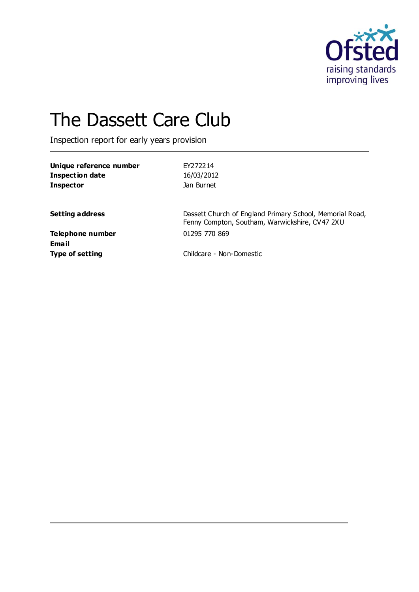

# The Dassett Care Club

Inspection report for early years provision

| Unique reference number<br><b>Inspection date</b> | FY272214                                                                                                   |
|---------------------------------------------------|------------------------------------------------------------------------------------------------------------|
|                                                   | 16/03/2012                                                                                                 |
| <b>Inspector</b>                                  | Jan Burnet                                                                                                 |
| <b>Setting address</b>                            | Dassett Church of England Primary School, Memorial Road,<br>Fenny Compton, Southam, Warwickshire, CV47 2XU |
| <b>Telephone number</b>                           | 01295 770 869                                                                                              |
| Email                                             |                                                                                                            |
| <b>Type of setting</b>                            | Childcare - Non-Domestic                                                                                   |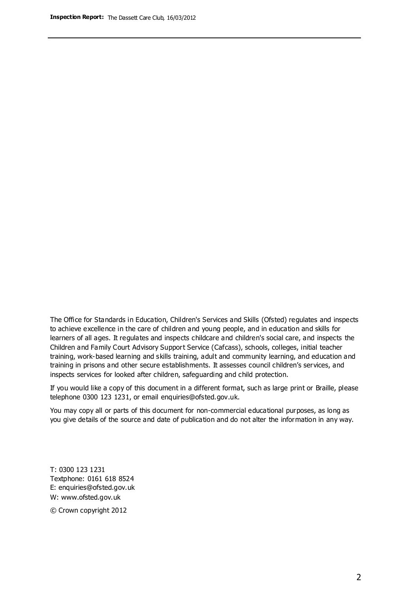The Office for Standards in Education, Children's Services and Skills (Ofsted) regulates and inspects to achieve excellence in the care of children and young people, and in education and skills for learners of all ages. It regulates and inspects childcare and children's social care, and inspects the Children and Family Court Advisory Support Service (Cafcass), schools, colleges, initial teacher training, work-based learning and skills training, adult and community learning, and education and training in prisons and other secure establishments. It assesses council children's services, and inspects services for looked after children, safeguarding and child protection.

If you would like a copy of this document in a different format, such as large print or Braille, please telephone 0300 123 1231, or email enquiries@ofsted.gov.uk.

You may copy all or parts of this document for non-commercial educational purposes, as long as you give details of the source and date of publication and do not alter the information in any way.

T: 0300 123 1231 Textphone: 0161 618 8524 E: enquiries@ofsted.gov.uk W: [www.ofsted.gov.uk](http://www.ofsted.gov.uk/)

© Crown copyright 2012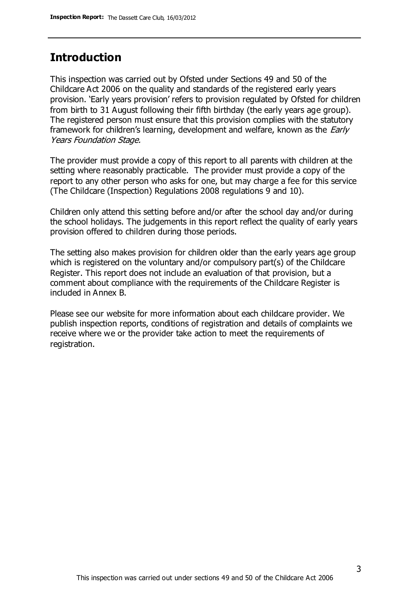## **Introduction**

This inspection was carried out by Ofsted under Sections 49 and 50 of the Childcare Act 2006 on the quality and standards of the registered early years provision. 'Early years provision' refers to provision regulated by Ofsted for children from birth to 31 August following their fifth birthday (the early years age group). The registered person must ensure that this provision complies with the statutory framework for children's learning, development and welfare, known as the *Early* Years Foundation Stage.

The provider must provide a copy of this report to all parents with children at the setting where reasonably practicable. The provider must provide a copy of the report to any other person who asks for one, but may charge a fee for this service (The Childcare (Inspection) Regulations 2008 regulations 9 and 10).

Children only attend this setting before and/or after the school day and/or during the school holidays. The judgements in this report reflect the quality of early years provision offered to children during those periods.

The setting also makes provision for children older than the early years age group which is registered on the voluntary and/or compulsory part(s) of the Childcare Register. This report does not include an evaluation of that provision, but a comment about compliance with the requirements of the Childcare Register is included in Annex B.

Please see our website for more information about each childcare provider. We publish inspection reports, conditions of registration and details of complaints we receive where we or the provider take action to meet the requirements of registration.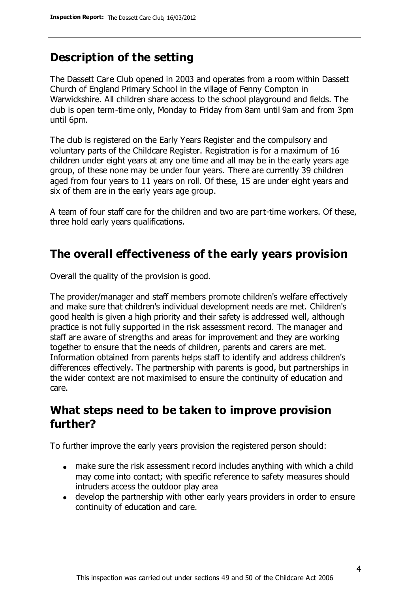# **Description of the setting**

The Dassett Care Club opened in 2003 and operates from a room within Dassett Church of England Primary School in the village of Fenny Compton in Warwickshire. All children share access to the school playground and fields. The club is open term-time only, Monday to Friday from 8am until 9am and from 3pm until 6pm.

The club is registered on the Early Years Register and the compulsory and voluntary parts of the Childcare Register. Registration is for a maximum of 16 children under eight years at any one time and all may be in the early years age group, of these none may be under four years. There are currently 39 children aged from four years to 11 years on roll. Of these, 15 are under eight years and six of them are in the early years age group.

A team of four staff care for the children and two are part-time workers. Of these, three hold early years qualifications.

# **The overall effectiveness of the early years provision**

Overall the quality of the provision is good.

The provider/manager and staff members promote children's welfare effectively and make sure that children's individual development needs are met. Children's good health is given a high priority and their safety is addressed well, although practice is not fully supported in the risk assessment record. The manager and staff are aware of strengths and areas for improvement and they are working together to ensure that the needs of children, parents and carers are met. Information obtained from parents helps staff to identify and address children's differences effectively. The partnership with parents is good, but partnerships in the wider context are not maximised to ensure the continuity of education and care.

# **What steps need to be taken to improve provision further?**

To further improve the early years provision the registered person should:

- make sure the risk assessment record includes anything with which a child may come into contact; with specific reference to safety measures should intruders access the outdoor play area
- develop the partnership with other early years providers in order to ensure continuity of education and care.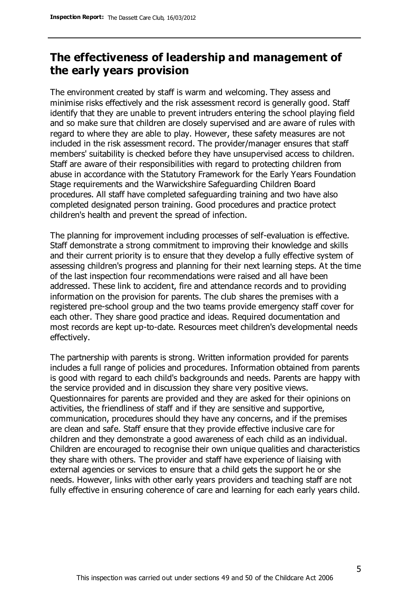# **The effectiveness of leadership and management of the early years provision**

The environment created by staff is warm and welcoming. They assess and minimise risks effectively and the risk assessment record is generally good. Staff identify that they are unable to prevent intruders entering the school playing field and so make sure that children are closely supervised and are aware of rules with regard to where they are able to play. However, these safety measures are not included in the risk assessment record. The provider/manager ensures that staff members' suitability is checked before they have unsupervised access to children. Staff are aware of their responsibilities with regard to protecting children from abuse in accordance with the Statutory Framework for the Early Years Foundation Stage requirements and the Warwickshire Safeguarding Children Board procedures. All staff have completed safeguarding training and two have also completed designated person training. Good procedures and practice protect children's health and prevent the spread of infection.

The planning for improvement including processes of self-evaluation is effective. Staff demonstrate a strong commitment to improving their knowledge and skills and their current priority is to ensure that they develop a fully effective system of assessing children's progress and planning for their next learning steps. At the time of the last inspection four recommendations were raised and all have been addressed. These link to accident, fire and attendance records and to providing information on the provision for parents. The club shares the premises with a registered pre-school group and the two teams provide emergency staff cover for each other. They share good practice and ideas. Required documentation and most records are kept up-to-date. Resources meet children's developmental needs effectively.

The partnership with parents is strong. Written information provided for parents includes a full range of policies and procedures. Information obtained from parents is good with regard to each child's backgrounds and needs. Parents are happy with the service provided and in discussion they share very positive views. Questionnaires for parents are provided and they are asked for their opinions on activities, the friendliness of staff and if they are sensitive and supportive, communication, procedures should they have any concerns, and if the premises are clean and safe. Staff ensure that they provide effective inclusive care for children and they demonstrate a good awareness of each child as an individual. Children are encouraged to recognise their own unique qualities and characteristics they share with others. The provider and staff have experience of liaising with external agencies or services to ensure that a child gets the support he or she needs. However, links with other early years providers and teaching staff are not fully effective in ensuring coherence of care and learning for each early years child.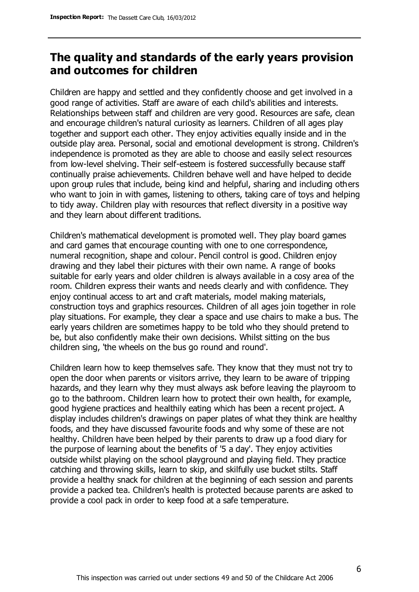# **The quality and standards of the early years provision and outcomes for children**

Children are happy and settled and they confidently choose and get involved in a good range of activities. Staff are aware of each child's abilities and interests. Relationships between staff and children are very good. Resources are safe, clean and encourage children's natural curiosity as learners. Children of all ages play together and support each other. They enjoy activities equally inside and in the outside play area. Personal, social and emotional development is strong. Children's independence is promoted as they are able to choose and easily select resources from low-level shelving. Their self-esteem is fostered successfully because staff continually praise achievements. Children behave well and have helped to decide upon group rules that include, being kind and helpful, sharing and including others who want to join in with games, listening to others, taking care of toys and helping to tidy away. Children play with resources that reflect diversity in a positive way and they learn about different traditions.

Children's mathematical development is promoted well. They play board games and card games that encourage counting with one to one correspondence, numeral recognition, shape and colour. Pencil control is good. Children enjoy drawing and they label their pictures with their own name. A range of books suitable for early years and older children is always available in a cosy area of the room. Children express their wants and needs clearly and with confidence. They enjoy continual access to art and craft materials, model making materials, construction toys and graphics resources. Children of all ages join together in role play situations. For example, they clear a space and use chairs to make a bus. The early years children are sometimes happy to be told who they should pretend to be, but also confidently make their own decisions. Whilst sitting on the bus children sing, 'the wheels on the bus go round and round'.

Children learn how to keep themselves safe. They know that they must not try to open the door when parents or visitors arrive, they learn to be aware of tripping hazards, and they learn why they must always ask before leaving the playroom to go to the bathroom. Children learn how to protect their own health, for example, good hygiene practices and healthily eating which has been a recent project. A display includes children's drawings on paper plates of what they think are healthy foods, and they have discussed favourite foods and why some of these are not healthy. Children have been helped by their parents to draw up a food diary for the purpose of learning about the benefits of '5 a day'. They enjoy activities outside whilst playing on the school playground and playing field. They practice catching and throwing skills, learn to skip, and skilfully use bucket stilts. Staff provide a healthy snack for children at the beginning of each session and parents provide a packed tea. Children's health is protected because parents are asked to provide a cool pack in order to keep food at a safe temperature.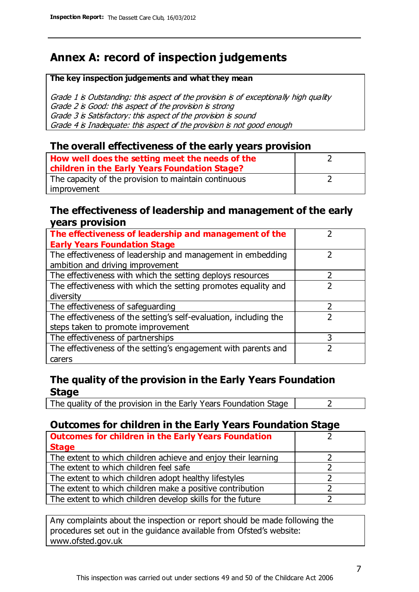# **Annex A: record of inspection judgements**

#### **The key inspection judgements and what they mean**

Grade 1 is Outstanding: this aspect of the provision is of exceptionally high quality Grade 2 is Good: this aspect of the provision is strong Grade 3 is Satisfactory: this aspect of the provision is sound Grade 4 is Inadequate: this aspect of the provision is not good enough

### **The overall effectiveness of the early years provision**

| How well does the setting meet the needs of the      |  |
|------------------------------------------------------|--|
| children in the Early Years Foundation Stage?        |  |
| The capacity of the provision to maintain continuous |  |
| improvement                                          |  |

#### **The effectiveness of leadership and management of the early years provision**

| The effectiveness of leadership and management of the             |   |
|-------------------------------------------------------------------|---|
| <b>Early Years Foundation Stage</b>                               |   |
| The effectiveness of leadership and management in embedding       |   |
| ambition and driving improvement                                  |   |
| The effectiveness with which the setting deploys resources        |   |
| The effectiveness with which the setting promotes equality and    |   |
| diversity                                                         |   |
| The effectiveness of safeguarding                                 |   |
| The effectiveness of the setting's self-evaluation, including the |   |
| steps taken to promote improvement                                |   |
| The effectiveness of partnerships                                 | 3 |
| The effectiveness of the setting's engagement with parents and    |   |
| carers                                                            |   |

## **The quality of the provision in the Early Years Foundation Stage**

The quality of the provision in the Early Years Foundation Stage  $\vert$  2

## **Outcomes for children in the Early Years Foundation Stage**

| <b>Outcomes for children in the Early Years Foundation</b>    |  |
|---------------------------------------------------------------|--|
| <b>Stage</b>                                                  |  |
| The extent to which children achieve and enjoy their learning |  |
| The extent to which children feel safe                        |  |
| The extent to which children adopt healthy lifestyles         |  |
| The extent to which children make a positive contribution     |  |
| The extent to which children develop skills for the future    |  |

Any complaints about the inspection or report should be made following the procedures set out in the guidance available from Ofsted's website: www.ofsted.gov.uk